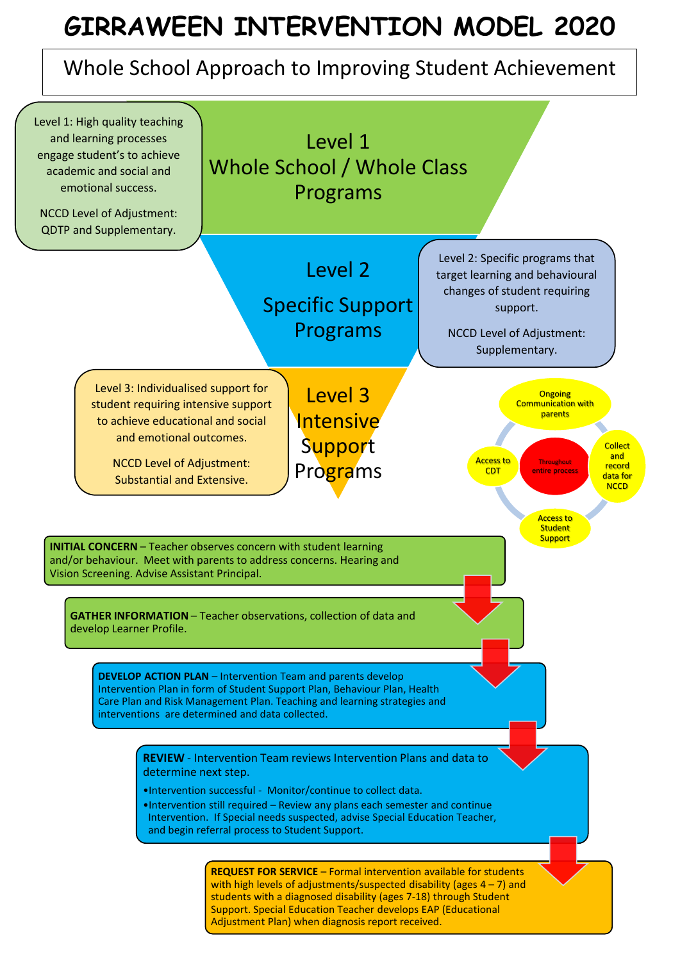# **GIRRAWEEN INTERVENTION MODEL 2020**

## Whole School Approach to Improving Student Achievement